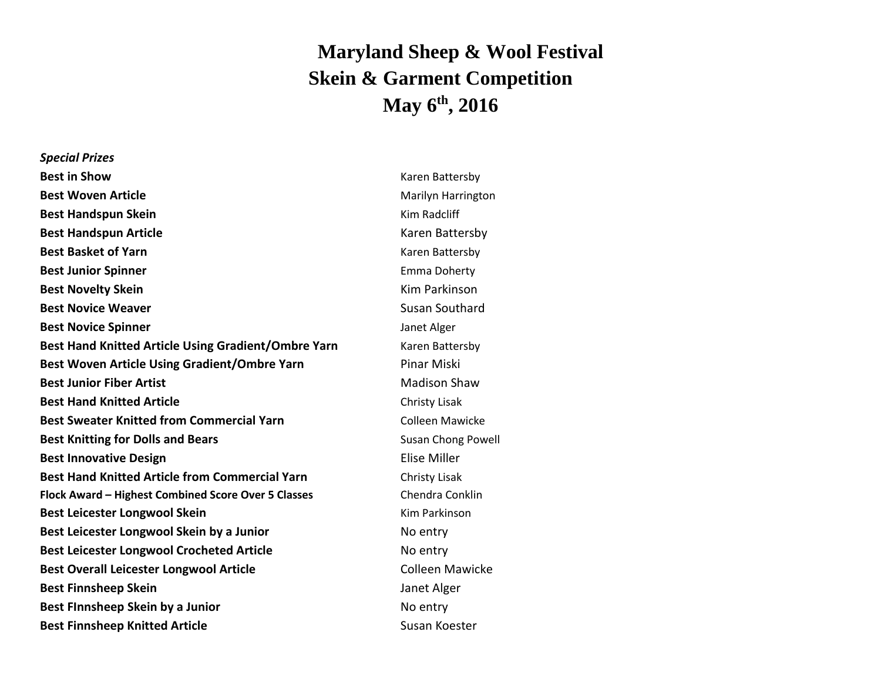## **Maryland Sheep & Wool Festival Skein & Garment Competition May 6 th , 2016**

*Special Prizes* **Best in Show** Karen Battersby Karen Battersby Karen Battersby **Best Woven Article** Marilyn Harrington Marilyn Harrington **Best Handspun Skein** Kanada Kanada Kim Radcliff **Best Handspun Article Karen Battersby** Karen Battersby **Best Basket of Yarn** Karen Battersby **Karen Battersby Best Junior Spinner Emma Doherty Emma Doherty Best Novelty Skein Kim Parkinson Kim Parkinson Best Novice Weaver** Susan Southard Susan Southard **Best Novice Spinner Community Community Community Community Community Community Community Community Community Community Community Community Community Community Community Community Community Community Community Community Best Hand Knitted Article Using Gradient/Ombre Yarn** Karen Battersby **Best Woven Article Using Gradient/Ombre Yarn** Pinar Miski **Best Junior Fiber Artist** Madison Shaw **Best Hand Knitted Article** Christy Lisak **Best Sweater Knitted from Commercial Yarn** Manusconnel Colleen Mawicke **Best Knitting for Dolls and Bears** Susan Chong Powell **Best Knitting for Dolls and Bears** Susan Chong Powell **Best Innovative Design Elise Miller Strategies And The Strategies And The Elise Miller Best Hand Knitted Article from Commercial Yarn Christy Lisak Flock Award – Highest Combined Score Over 5 Classes** Chendra Conklin **Best Leicester Longwool Skein** Kamer Kim Parkinson **Best Leicester Longwool Skein by a Junior Channel Construct Control Control Control Control Construct Construct Best Leicester Longwool Crocheted Article** No entry **Best Overall Leicester Longwool Article** Colleen Mawicke **Best Finnsheep Skein Janet Alger Janet Alger Best FInnsheep Skein by a Junior** No entry **Best Finnsheep Knitted Article** Susan Koester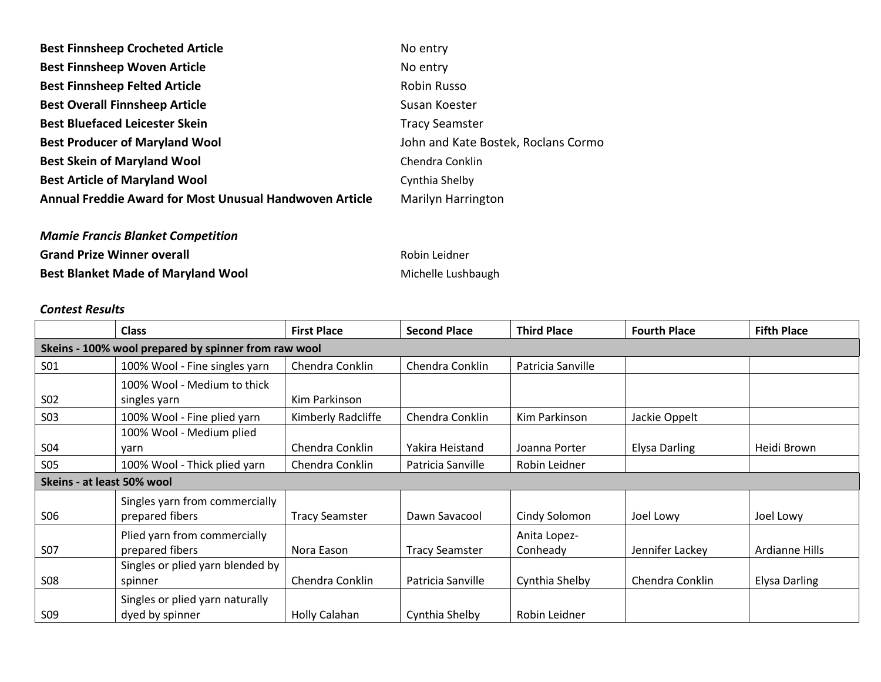| <b>Best Finnsheep Crocheted Article</b>                 | No entry                            |
|---------------------------------------------------------|-------------------------------------|
| <b>Best Finnsheep Woven Article</b>                     | No entry                            |
| <b>Best Finnsheep Felted Article</b>                    | Robin Russo                         |
| <b>Best Overall Finnsheep Article</b>                   | Susan Koester                       |
| <b>Best Bluefaced Leicester Skein</b>                   | <b>Tracy Seamster</b>               |
| <b>Best Producer of Maryland Wool</b>                   | John and Kate Bostek, Roclans Cormo |
| <b>Best Skein of Maryland Wool</b>                      | Chendra Conklin                     |
| <b>Best Article of Maryland Wool</b>                    | Cynthia Shelby                      |
| Annual Freddie Award for Most Unusual Handwoven Article | <b>Marilyn Harrington</b>           |
|                                                         |                                     |

*Mamie Francis Blanket Competition* **Grand Prize Winner overall Robin Leidner** Robin Leidner **Best Blanket Made of Maryland Wool** Michelle Lushbaugh

## *Contest Results*

|                                                      | <b>Class</b>                     | <b>First Place</b>    | <b>Second Place</b>   | <b>Third Place</b> | <b>Fourth Place</b>  | <b>Fifth Place</b>   |  |
|------------------------------------------------------|----------------------------------|-----------------------|-----------------------|--------------------|----------------------|----------------------|--|
| Skeins - 100% wool prepared by spinner from raw wool |                                  |                       |                       |                    |                      |                      |  |
| S01                                                  | 100% Wool - Fine singles yarn    | Chendra Conklin       | Chendra Conklin       | Patricia Sanville  |                      |                      |  |
|                                                      | 100% Wool - Medium to thick      |                       |                       |                    |                      |                      |  |
| S <sub>02</sub>                                      | singles yarn                     | Kim Parkinson         |                       |                    |                      |                      |  |
| <b>SO3</b>                                           | 100% Wool - Fine plied yarn      | Kimberly Radcliffe    | Chendra Conklin       | Kim Parkinson      | Jackie Oppelt        |                      |  |
|                                                      | 100% Wool - Medium plied         |                       |                       |                    |                      |                      |  |
| <b>S04</b>                                           | varn                             | Chendra Conklin       | Yakira Heistand       | Joanna Porter      | <b>Elysa Darling</b> | Heidi Brown          |  |
| <b>S05</b>                                           | 100% Wool - Thick plied yarn     | Chendra Conklin       | Patricia Sanville     | Robin Leidner      |                      |                      |  |
| Skeins - at least 50% wool                           |                                  |                       |                       |                    |                      |                      |  |
|                                                      | Singles yarn from commercially   |                       |                       |                    |                      |                      |  |
| <b>SO6</b>                                           | prepared fibers                  | <b>Tracy Seamster</b> | Dawn Savacool         | Cindy Solomon      | Joel Lowy            | Joel Lowy            |  |
|                                                      | Plied yarn from commercially     |                       |                       | Anita Lopez-       |                      |                      |  |
| <b>S07</b>                                           | prepared fibers                  | Nora Eason            | <b>Tracy Seamster</b> | Conheady           | Jennifer Lackey      | Ardianne Hills       |  |
|                                                      | Singles or plied yarn blended by |                       |                       |                    |                      |                      |  |
| <b>S08</b>                                           | spinner                          | Chendra Conklin       | Patricia Sanville     | Cynthia Shelby     | Chendra Conklin      | <b>Elysa Darling</b> |  |
|                                                      | Singles or plied yarn naturally  |                       |                       |                    |                      |                      |  |
| <b>SO9</b>                                           | dyed by spinner                  | Holly Calahan         | Cynthia Shelby        | Robin Leidner      |                      |                      |  |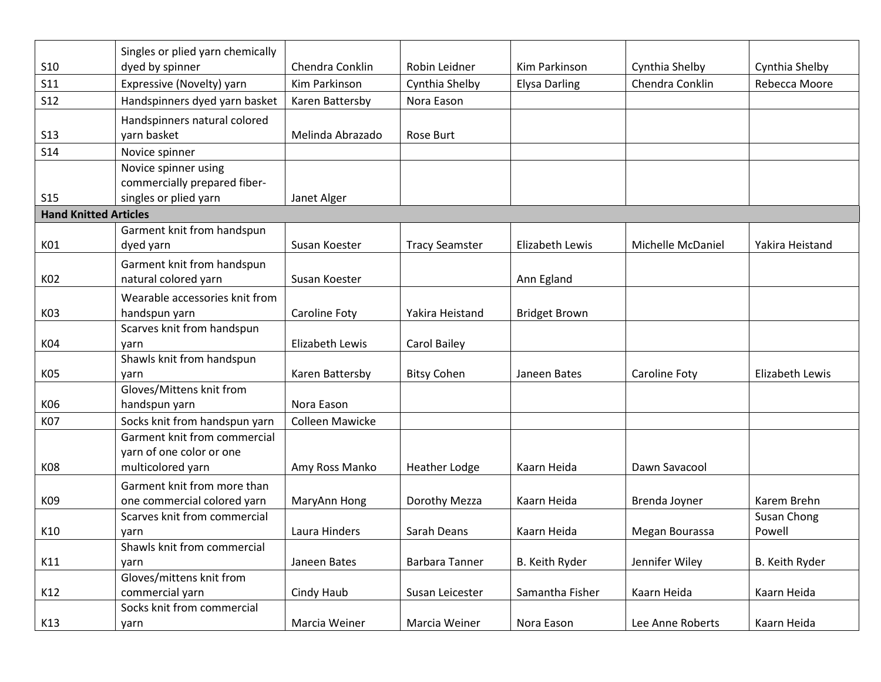|                              | Singles or plied yarn chemically  |                        |                       |                      |                   |                        |
|------------------------------|-----------------------------------|------------------------|-----------------------|----------------------|-------------------|------------------------|
| <b>S10</b>                   | dyed by spinner                   | Chendra Conklin        | Robin Leidner         | Kim Parkinson        | Cynthia Shelby    | Cynthia Shelby         |
| <b>S11</b>                   | Expressive (Novelty) yarn         | Kim Parkinson          | Cynthia Shelby        | <b>Elysa Darling</b> | Chendra Conklin   | Rebecca Moore          |
| <b>S12</b>                   | Handspinners dyed yarn basket     | Karen Battersby        | Nora Eason            |                      |                   |                        |
|                              | Handspinners natural colored      |                        |                       |                      |                   |                        |
| <b>S13</b>                   | yarn basket                       | Melinda Abrazado       | Rose Burt             |                      |                   |                        |
| <b>S14</b>                   | Novice spinner                    |                        |                       |                      |                   |                        |
|                              | Novice spinner using              |                        |                       |                      |                   |                        |
|                              | commercially prepared fiber-      |                        |                       |                      |                   |                        |
| <b>S15</b>                   | singles or plied yarn             | Janet Alger            |                       |                      |                   |                        |
| <b>Hand Knitted Articles</b> |                                   |                        |                       |                      |                   |                        |
|                              | Garment knit from handspun        |                        |                       |                      |                   |                        |
| K01                          | dyed yarn                         | Susan Koester          | <b>Tracy Seamster</b> | Elizabeth Lewis      | Michelle McDaniel | Yakira Heistand        |
|                              | Garment knit from handspun        |                        |                       |                      |                   |                        |
| K02                          | natural colored yarn              | Susan Koester          |                       | Ann Egland           |                   |                        |
|                              | Wearable accessories knit from    |                        |                       |                      |                   |                        |
| K03                          | handspun yarn                     | Caroline Foty          | Yakira Heistand       | <b>Bridget Brown</b> |                   |                        |
|                              | Scarves knit from handspun        |                        |                       |                      |                   |                        |
| K04                          | yarn                              | Elizabeth Lewis        | <b>Carol Bailey</b>   |                      |                   |                        |
| K05                          | Shawls knit from handspun<br>yarn | Karen Battersby        | <b>Bitsy Cohen</b>    | Janeen Bates         | Caroline Foty     | <b>Elizabeth Lewis</b> |
|                              | Gloves/Mittens knit from          |                        |                       |                      |                   |                        |
| K06                          | handspun yarn                     | Nora Eason             |                       |                      |                   |                        |
| K07                          | Socks knit from handspun yarn     | <b>Colleen Mawicke</b> |                       |                      |                   |                        |
|                              | Garment knit from commercial      |                        |                       |                      |                   |                        |
|                              | yarn of one color or one          |                        |                       |                      |                   |                        |
| K08                          | multicolored yarn                 | Amy Ross Manko         | <b>Heather Lodge</b>  | Kaarn Heida          | Dawn Savacool     |                        |
|                              | Garment knit from more than       |                        |                       |                      |                   |                        |
| K09                          | one commercial colored yarn       | MaryAnn Hong           | Dorothy Mezza         | Kaarn Heida          | Brenda Joyner     | Karem Brehn            |
|                              | Scarves knit from commercial      |                        |                       |                      |                   | Susan Chong            |
| K10                          | yarn                              | Laura Hinders          | Sarah Deans           | Kaarn Heida          | Megan Bourassa    | Powell                 |
|                              | Shawls knit from commercial       |                        |                       |                      |                   |                        |
| K11                          | yarn                              | Janeen Bates           | Barbara Tanner        | B. Keith Ryder       | Jennifer Wiley    | B. Keith Ryder         |
|                              | Gloves/mittens knit from          |                        |                       |                      |                   |                        |
| K12                          | commercial yarn                   | Cindy Haub             | Susan Leicester       | Samantha Fisher      | Kaarn Heida       | Kaarn Heida            |
| K13                          | Socks knit from commercial        | Marcia Weiner          | Marcia Weiner         | Nora Eason           | Lee Anne Roberts  | Kaarn Heida            |
|                              | yarn                              |                        |                       |                      |                   |                        |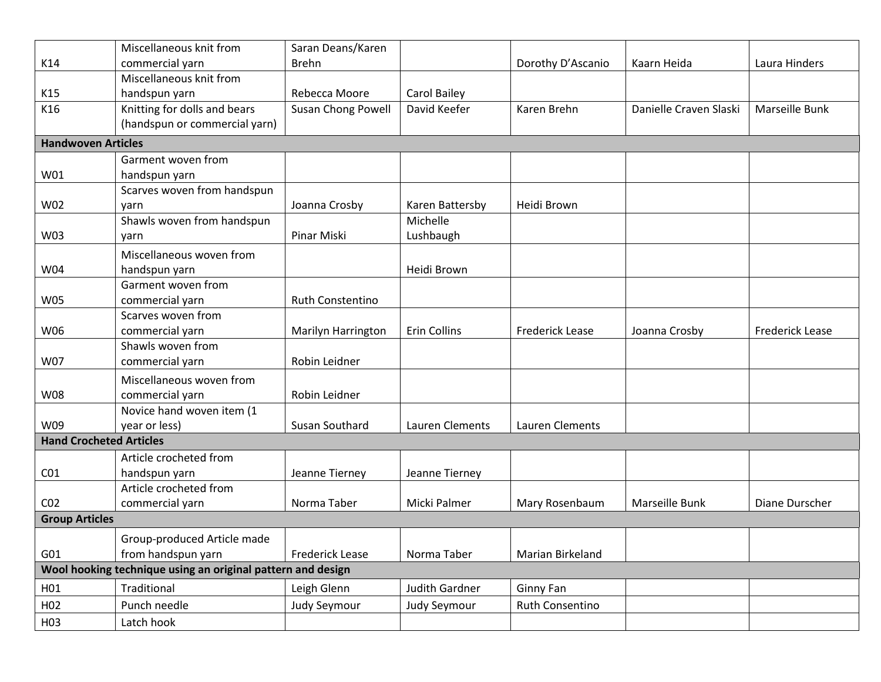| commercial yarn<br><b>Brehn</b><br>K14<br>Dorothy D'Ascanio<br>Kaarn Heida<br>Laura Hinders<br>Miscellaneous knit from<br>K15<br>handspun yarn<br>Rebecca Moore<br>Carol Bailey<br>Knitting for dolls and bears<br>Susan Chong Powell<br>K16<br>David Keefer<br>Karen Brehn<br>Danielle Craven Slaski<br>Marseille Bunk<br>(handspun or commercial yarn)<br><b>Handwoven Articles</b><br>Garment woven from<br>W01<br>handspun yarn<br>Scarves woven from handspun<br>W02<br>Joanna Crosby<br>Heidi Brown<br>Karen Battersby<br>yarn<br>Shawls woven from handspun<br>Michelle<br>W03<br>Pinar Miski<br>Lushbaugh<br>yarn<br>Miscellaneous woven from<br>Heidi Brown<br>W04<br>handspun yarn<br>Garment woven from<br>commercial yarn<br><b>W05</b><br><b>Ruth Constentino</b><br>Scarves woven from<br>commercial yarn<br>Erin Collins<br>W06<br>Marilyn Harrington<br><b>Frederick Lease</b><br>Joanna Crosby<br><b>Frederick Lease</b><br>Shawls woven from<br>Robin Leidner<br>W07<br>commercial yarn<br>Miscellaneous woven from<br>commercial yarn<br>Robin Leidner<br>W08<br>Novice hand woven item (1<br>year or less)<br>Lauren Clements<br>W09<br>Susan Southard<br>Lauren Clements<br><b>Hand Crocheted Articles</b><br>Article crocheted from<br>CO <sub>1</sub><br>Jeanne Tierney<br>handspun yarn<br>Jeanne Tierney<br>Article crocheted from<br>Norma Taber<br>CO <sub>2</sub><br>commercial yarn<br>Micki Palmer<br>Marseille Bunk<br>Diane Durscher<br>Mary Rosenbaum<br><b>Group Articles</b><br>Group-produced Article made<br>G01<br>from handspun yarn<br><b>Frederick Lease</b><br>Norma Taber<br>Marian Birkeland<br>Wool hooking technique using an original pattern and design |  | Miscellaneous knit from | Saran Deans/Karen |  |  |  |  |  |
|---------------------------------------------------------------------------------------------------------------------------------------------------------------------------------------------------------------------------------------------------------------------------------------------------------------------------------------------------------------------------------------------------------------------------------------------------------------------------------------------------------------------------------------------------------------------------------------------------------------------------------------------------------------------------------------------------------------------------------------------------------------------------------------------------------------------------------------------------------------------------------------------------------------------------------------------------------------------------------------------------------------------------------------------------------------------------------------------------------------------------------------------------------------------------------------------------------------------------------------------------------------------------------------------------------------------------------------------------------------------------------------------------------------------------------------------------------------------------------------------------------------------------------------------------------------------------------------------------------------------------------------------------------------------------------------------------------|--|-------------------------|-------------------|--|--|--|--|--|
|                                                                                                                                                                                                                                                                                                                                                                                                                                                                                                                                                                                                                                                                                                                                                                                                                                                                                                                                                                                                                                                                                                                                                                                                                                                                                                                                                                                                                                                                                                                                                                                                                                                                                                         |  |                         |                   |  |  |  |  |  |
|                                                                                                                                                                                                                                                                                                                                                                                                                                                                                                                                                                                                                                                                                                                                                                                                                                                                                                                                                                                                                                                                                                                                                                                                                                                                                                                                                                                                                                                                                                                                                                                                                                                                                                         |  |                         |                   |  |  |  |  |  |
|                                                                                                                                                                                                                                                                                                                                                                                                                                                                                                                                                                                                                                                                                                                                                                                                                                                                                                                                                                                                                                                                                                                                                                                                                                                                                                                                                                                                                                                                                                                                                                                                                                                                                                         |  |                         |                   |  |  |  |  |  |
|                                                                                                                                                                                                                                                                                                                                                                                                                                                                                                                                                                                                                                                                                                                                                                                                                                                                                                                                                                                                                                                                                                                                                                                                                                                                                                                                                                                                                                                                                                                                                                                                                                                                                                         |  |                         |                   |  |  |  |  |  |
|                                                                                                                                                                                                                                                                                                                                                                                                                                                                                                                                                                                                                                                                                                                                                                                                                                                                                                                                                                                                                                                                                                                                                                                                                                                                                                                                                                                                                                                                                                                                                                                                                                                                                                         |  |                         |                   |  |  |  |  |  |
|                                                                                                                                                                                                                                                                                                                                                                                                                                                                                                                                                                                                                                                                                                                                                                                                                                                                                                                                                                                                                                                                                                                                                                                                                                                                                                                                                                                                                                                                                                                                                                                                                                                                                                         |  |                         |                   |  |  |  |  |  |
|                                                                                                                                                                                                                                                                                                                                                                                                                                                                                                                                                                                                                                                                                                                                                                                                                                                                                                                                                                                                                                                                                                                                                                                                                                                                                                                                                                                                                                                                                                                                                                                                                                                                                                         |  |                         |                   |  |  |  |  |  |
|                                                                                                                                                                                                                                                                                                                                                                                                                                                                                                                                                                                                                                                                                                                                                                                                                                                                                                                                                                                                                                                                                                                                                                                                                                                                                                                                                                                                                                                                                                                                                                                                                                                                                                         |  |                         |                   |  |  |  |  |  |
|                                                                                                                                                                                                                                                                                                                                                                                                                                                                                                                                                                                                                                                                                                                                                                                                                                                                                                                                                                                                                                                                                                                                                                                                                                                                                                                                                                                                                                                                                                                                                                                                                                                                                                         |  |                         |                   |  |  |  |  |  |
|                                                                                                                                                                                                                                                                                                                                                                                                                                                                                                                                                                                                                                                                                                                                                                                                                                                                                                                                                                                                                                                                                                                                                                                                                                                                                                                                                                                                                                                                                                                                                                                                                                                                                                         |  |                         |                   |  |  |  |  |  |
|                                                                                                                                                                                                                                                                                                                                                                                                                                                                                                                                                                                                                                                                                                                                                                                                                                                                                                                                                                                                                                                                                                                                                                                                                                                                                                                                                                                                                                                                                                                                                                                                                                                                                                         |  |                         |                   |  |  |  |  |  |
|                                                                                                                                                                                                                                                                                                                                                                                                                                                                                                                                                                                                                                                                                                                                                                                                                                                                                                                                                                                                                                                                                                                                                                                                                                                                                                                                                                                                                                                                                                                                                                                                                                                                                                         |  |                         |                   |  |  |  |  |  |
|                                                                                                                                                                                                                                                                                                                                                                                                                                                                                                                                                                                                                                                                                                                                                                                                                                                                                                                                                                                                                                                                                                                                                                                                                                                                                                                                                                                                                                                                                                                                                                                                                                                                                                         |  |                         |                   |  |  |  |  |  |
|                                                                                                                                                                                                                                                                                                                                                                                                                                                                                                                                                                                                                                                                                                                                                                                                                                                                                                                                                                                                                                                                                                                                                                                                                                                                                                                                                                                                                                                                                                                                                                                                                                                                                                         |  |                         |                   |  |  |  |  |  |
|                                                                                                                                                                                                                                                                                                                                                                                                                                                                                                                                                                                                                                                                                                                                                                                                                                                                                                                                                                                                                                                                                                                                                                                                                                                                                                                                                                                                                                                                                                                                                                                                                                                                                                         |  |                         |                   |  |  |  |  |  |
|                                                                                                                                                                                                                                                                                                                                                                                                                                                                                                                                                                                                                                                                                                                                                                                                                                                                                                                                                                                                                                                                                                                                                                                                                                                                                                                                                                                                                                                                                                                                                                                                                                                                                                         |  |                         |                   |  |  |  |  |  |
|                                                                                                                                                                                                                                                                                                                                                                                                                                                                                                                                                                                                                                                                                                                                                                                                                                                                                                                                                                                                                                                                                                                                                                                                                                                                                                                                                                                                                                                                                                                                                                                                                                                                                                         |  |                         |                   |  |  |  |  |  |
|                                                                                                                                                                                                                                                                                                                                                                                                                                                                                                                                                                                                                                                                                                                                                                                                                                                                                                                                                                                                                                                                                                                                                                                                                                                                                                                                                                                                                                                                                                                                                                                                                                                                                                         |  |                         |                   |  |  |  |  |  |
|                                                                                                                                                                                                                                                                                                                                                                                                                                                                                                                                                                                                                                                                                                                                                                                                                                                                                                                                                                                                                                                                                                                                                                                                                                                                                                                                                                                                                                                                                                                                                                                                                                                                                                         |  |                         |                   |  |  |  |  |  |
|                                                                                                                                                                                                                                                                                                                                                                                                                                                                                                                                                                                                                                                                                                                                                                                                                                                                                                                                                                                                                                                                                                                                                                                                                                                                                                                                                                                                                                                                                                                                                                                                                                                                                                         |  |                         |                   |  |  |  |  |  |
|                                                                                                                                                                                                                                                                                                                                                                                                                                                                                                                                                                                                                                                                                                                                                                                                                                                                                                                                                                                                                                                                                                                                                                                                                                                                                                                                                                                                                                                                                                                                                                                                                                                                                                         |  |                         |                   |  |  |  |  |  |
|                                                                                                                                                                                                                                                                                                                                                                                                                                                                                                                                                                                                                                                                                                                                                                                                                                                                                                                                                                                                                                                                                                                                                                                                                                                                                                                                                                                                                                                                                                                                                                                                                                                                                                         |  |                         |                   |  |  |  |  |  |
|                                                                                                                                                                                                                                                                                                                                                                                                                                                                                                                                                                                                                                                                                                                                                                                                                                                                                                                                                                                                                                                                                                                                                                                                                                                                                                                                                                                                                                                                                                                                                                                                                                                                                                         |  |                         |                   |  |  |  |  |  |
|                                                                                                                                                                                                                                                                                                                                                                                                                                                                                                                                                                                                                                                                                                                                                                                                                                                                                                                                                                                                                                                                                                                                                                                                                                                                                                                                                                                                                                                                                                                                                                                                                                                                                                         |  |                         |                   |  |  |  |  |  |
|                                                                                                                                                                                                                                                                                                                                                                                                                                                                                                                                                                                                                                                                                                                                                                                                                                                                                                                                                                                                                                                                                                                                                                                                                                                                                                                                                                                                                                                                                                                                                                                                                                                                                                         |  |                         |                   |  |  |  |  |  |
|                                                                                                                                                                                                                                                                                                                                                                                                                                                                                                                                                                                                                                                                                                                                                                                                                                                                                                                                                                                                                                                                                                                                                                                                                                                                                                                                                                                                                                                                                                                                                                                                                                                                                                         |  |                         |                   |  |  |  |  |  |
|                                                                                                                                                                                                                                                                                                                                                                                                                                                                                                                                                                                                                                                                                                                                                                                                                                                                                                                                                                                                                                                                                                                                                                                                                                                                                                                                                                                                                                                                                                                                                                                                                                                                                                         |  |                         |                   |  |  |  |  |  |
|                                                                                                                                                                                                                                                                                                                                                                                                                                                                                                                                                                                                                                                                                                                                                                                                                                                                                                                                                                                                                                                                                                                                                                                                                                                                                                                                                                                                                                                                                                                                                                                                                                                                                                         |  |                         |                   |  |  |  |  |  |
|                                                                                                                                                                                                                                                                                                                                                                                                                                                                                                                                                                                                                                                                                                                                                                                                                                                                                                                                                                                                                                                                                                                                                                                                                                                                                                                                                                                                                                                                                                                                                                                                                                                                                                         |  |                         |                   |  |  |  |  |  |
|                                                                                                                                                                                                                                                                                                                                                                                                                                                                                                                                                                                                                                                                                                                                                                                                                                                                                                                                                                                                                                                                                                                                                                                                                                                                                                                                                                                                                                                                                                                                                                                                                                                                                                         |  |                         |                   |  |  |  |  |  |
|                                                                                                                                                                                                                                                                                                                                                                                                                                                                                                                                                                                                                                                                                                                                                                                                                                                                                                                                                                                                                                                                                                                                                                                                                                                                                                                                                                                                                                                                                                                                                                                                                                                                                                         |  |                         |                   |  |  |  |  |  |
|                                                                                                                                                                                                                                                                                                                                                                                                                                                                                                                                                                                                                                                                                                                                                                                                                                                                                                                                                                                                                                                                                                                                                                                                                                                                                                                                                                                                                                                                                                                                                                                                                                                                                                         |  |                         |                   |  |  |  |  |  |
|                                                                                                                                                                                                                                                                                                                                                                                                                                                                                                                                                                                                                                                                                                                                                                                                                                                                                                                                                                                                                                                                                                                                                                                                                                                                                                                                                                                                                                                                                                                                                                                                                                                                                                         |  |                         |                   |  |  |  |  |  |
| H01<br>Judith Gardner<br>Traditional<br>Leigh Glenn<br>Ginny Fan                                                                                                                                                                                                                                                                                                                                                                                                                                                                                                                                                                                                                                                                                                                                                                                                                                                                                                                                                                                                                                                                                                                                                                                                                                                                                                                                                                                                                                                                                                                                                                                                                                        |  |                         |                   |  |  |  |  |  |
| Punch needle<br>Ruth Consentino<br>H <sub>02</sub><br>Judy Seymour<br>Judy Seymour                                                                                                                                                                                                                                                                                                                                                                                                                                                                                                                                                                                                                                                                                                                                                                                                                                                                                                                                                                                                                                                                                                                                                                                                                                                                                                                                                                                                                                                                                                                                                                                                                      |  |                         |                   |  |  |  |  |  |
| Latch hook<br>H <sub>0</sub> 3                                                                                                                                                                                                                                                                                                                                                                                                                                                                                                                                                                                                                                                                                                                                                                                                                                                                                                                                                                                                                                                                                                                                                                                                                                                                                                                                                                                                                                                                                                                                                                                                                                                                          |  |                         |                   |  |  |  |  |  |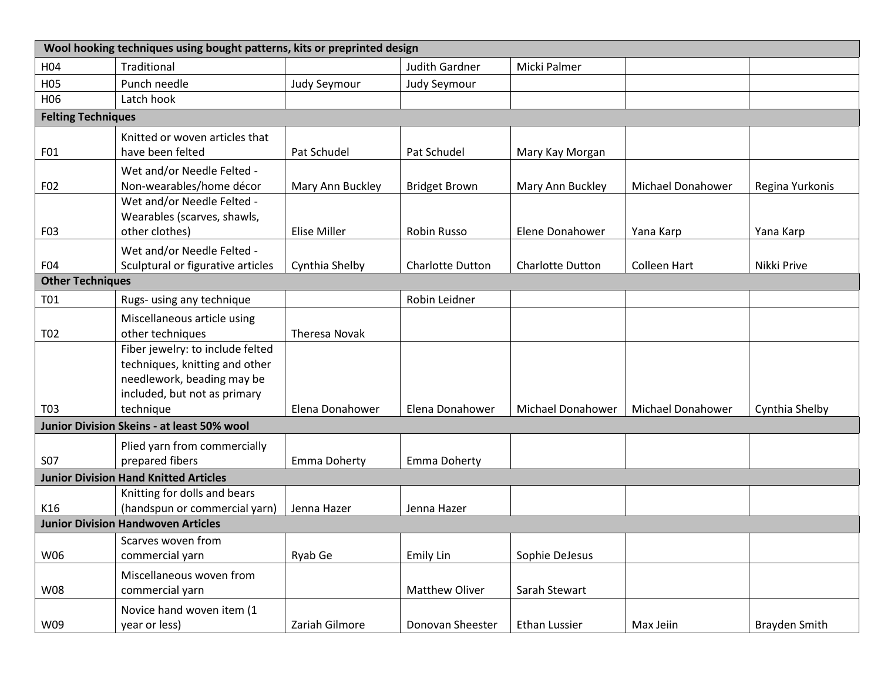| Wool hooking techniques using bought patterns, kits or preprinted design |                                                 |                     |                         |                          |                          |                 |
|--------------------------------------------------------------------------|-------------------------------------------------|---------------------|-------------------------|--------------------------|--------------------------|-----------------|
| H04                                                                      | Traditional                                     |                     | <b>Judith Gardner</b>   | Micki Palmer             |                          |                 |
| H05                                                                      | Punch needle                                    | Judy Seymour        | Judy Seymour            |                          |                          |                 |
| H06                                                                      | Latch hook                                      |                     |                         |                          |                          |                 |
| <b>Felting Techniques</b>                                                |                                                 |                     |                         |                          |                          |                 |
|                                                                          | Knitted or woven articles that                  |                     |                         |                          |                          |                 |
| F01                                                                      | have been felted                                | Pat Schudel         | Pat Schudel             | Mary Kay Morgan          |                          |                 |
|                                                                          | Wet and/or Needle Felted -                      |                     |                         |                          |                          |                 |
| F <sub>02</sub>                                                          | Non-wearables/home décor                        | Mary Ann Buckley    | <b>Bridget Brown</b>    | Mary Ann Buckley         | <b>Michael Donahower</b> | Regina Yurkonis |
|                                                                          | Wet and/or Needle Felted -                      |                     |                         |                          |                          |                 |
|                                                                          | Wearables (scarves, shawls,                     |                     |                         |                          |                          |                 |
| F03                                                                      | other clothes)                                  | <b>Elise Miller</b> | Robin Russo             | Elene Donahower          | Yana Karp                | Yana Karp       |
|                                                                          | Wet and/or Needle Felted -                      |                     |                         |                          |                          |                 |
| F04                                                                      | Sculptural or figurative articles               | Cynthia Shelby      | <b>Charlotte Dutton</b> | <b>Charlotte Dutton</b>  | <b>Colleen Hart</b>      | Nikki Prive     |
| <b>Other Techniques</b>                                                  |                                                 |                     |                         |                          |                          |                 |
| T01                                                                      | Rugs- using any technique                       |                     | Robin Leidner           |                          |                          |                 |
| T02                                                                      | Miscellaneous article using<br>other techniques | Theresa Novak       |                         |                          |                          |                 |
|                                                                          | Fiber jewelry: to include felted                |                     |                         |                          |                          |                 |
|                                                                          | techniques, knitting and other                  |                     |                         |                          |                          |                 |
|                                                                          | needlework, beading may be                      |                     |                         |                          |                          |                 |
|                                                                          | included, but not as primary                    |                     |                         |                          |                          |                 |
| T03                                                                      | technique                                       | Elena Donahower     | Elena Donahower         | <b>Michael Donahower</b> | Michael Donahower        | Cynthia Shelby  |
|                                                                          | Junior Division Skeins - at least 50% wool      |                     |                         |                          |                          |                 |
|                                                                          | Plied yarn from commercially                    |                     |                         |                          |                          |                 |
| <b>S07</b>                                                               | prepared fibers                                 | Emma Doherty        | Emma Doherty            |                          |                          |                 |
| <b>Junior Division Hand Knitted Articles</b>                             |                                                 |                     |                         |                          |                          |                 |
|                                                                          | Knitting for dolls and bears                    |                     |                         |                          |                          |                 |
| K16                                                                      | (handspun or commercial yarn)                   | Jenna Hazer         | Jenna Hazer             |                          |                          |                 |
| <b>Junior Division Handwoven Articles</b>                                |                                                 |                     |                         |                          |                          |                 |
|                                                                          | Scarves woven from                              |                     |                         |                          |                          |                 |
| W06                                                                      | commercial yarn                                 | Ryab Ge             | Emily Lin               | Sophie DeJesus           |                          |                 |
|                                                                          | Miscellaneous woven from                        |                     |                         |                          |                          |                 |
| W08                                                                      | commercial yarn                                 |                     | Matthew Oliver          | Sarah Stewart            |                          |                 |
|                                                                          | Novice hand woven item (1                       |                     |                         |                          |                          |                 |
| W09                                                                      | year or less)                                   | Zariah Gilmore      | Donovan Sheester        | Ethan Lussier            | Max Jeiin                | Brayden Smith   |